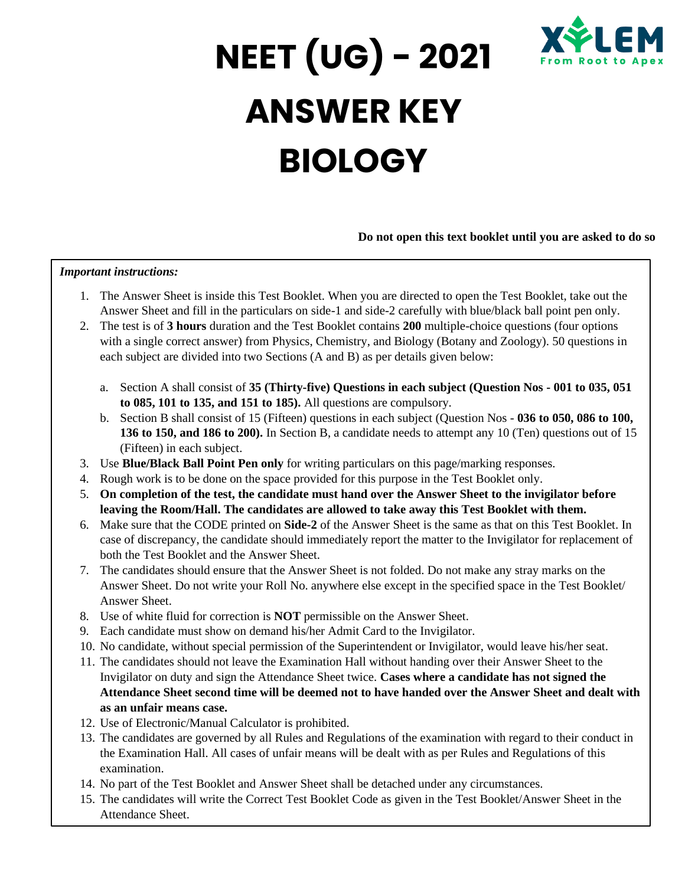

# **NEET (UG) - 2021 ANSWER KEY BIOLOGY**

#### **Do not open this text booklet until you are asked to do so**

#### *Important instructions:*

- 1. The Answer Sheet is inside this Test Booklet. When you are directed to open the Test Booklet, take out the Answer Sheet and fill in the particulars on side-1 and side-2 carefully with blue/black ball point pen only.
- 2. The test is of **3 hours** duration and the Test Booklet contains **200** multiple-choice questions (four options with a single correct answer) from Physics, Chemistry, and Biology (Botany and Zoology). 50 questions in each subject are divided into two Sections (A and B) as per details given below:
	- a. Section A shall consist of **35 (Thirty-five) Questions in each subject (Question Nos - 001 to 035, 051 to 085, 101 to 135, and 151 to 185).** All questions are compulsory.
	- b. Section B shall consist of 15 (Fifteen) questions in each subject (Question Nos **036 to 050, 086 to 100, 136 to 150, and 186 to 200).** In Section B, a candidate needs to attempt any 10 (Ten) questions out of 15 (Fifteen) in each subject.
- 3. Use **Blue/Black Ball Point Pen only** for writing particulars on this page/marking responses.
- 4. Rough work is to be done on the space provided for this purpose in the Test Booklet only.
- 5. **On completion of the test, the candidate must hand over the Answer Sheet to the invigilator before leaving the Room/Hall. The candidates are allowed to take away this Test Booklet with them.**
- 6. Make sure that the CODE printed on **Side-2** of the Answer Sheet is the same as that on this Test Booklet. In case of discrepancy, the candidate should immediately report the matter to the Invigilator for replacement of both the Test Booklet and the Answer Sheet.
- 7. The candidates should ensure that the Answer Sheet is not folded. Do not make any stray marks on the Answer Sheet. Do not write your Roll No. anywhere else except in the specified space in the Test Booklet/ Answer Sheet.
- 8. Use of white fluid for correction is **NOT** permissible on the Answer Sheet.
- 9. Each candidate must show on demand his/her Admit Card to the Invigilator.
- 10. No candidate, without special permission of the Superintendent or Invigilator, would leave his/her seat.
- 11. The candidates should not leave the Examination Hall without handing over their Answer Sheet to the Invigilator on duty and sign the Attendance Sheet twice. **Cases where a candidate has not signed the Attendance Sheet second time will be deemed not to have handed over the Answer Sheet and dealt with as an unfair means case.**
- 12. Use of Electronic/Manual Calculator is prohibited.
- 13. The candidates are governed by all Rules and Regulations of the examination with regard to their conduct in the Examination Hall. All cases of unfair means will be dealt with as per Rules and Regulations of this examination.
- 14. No part of the Test Booklet and Answer Sheet shall be detached under any circumstances.
- 15. The candidates will write the Correct Test Booklet Code as given in the Test Booklet/Answer Sheet in the Attendance Sheet.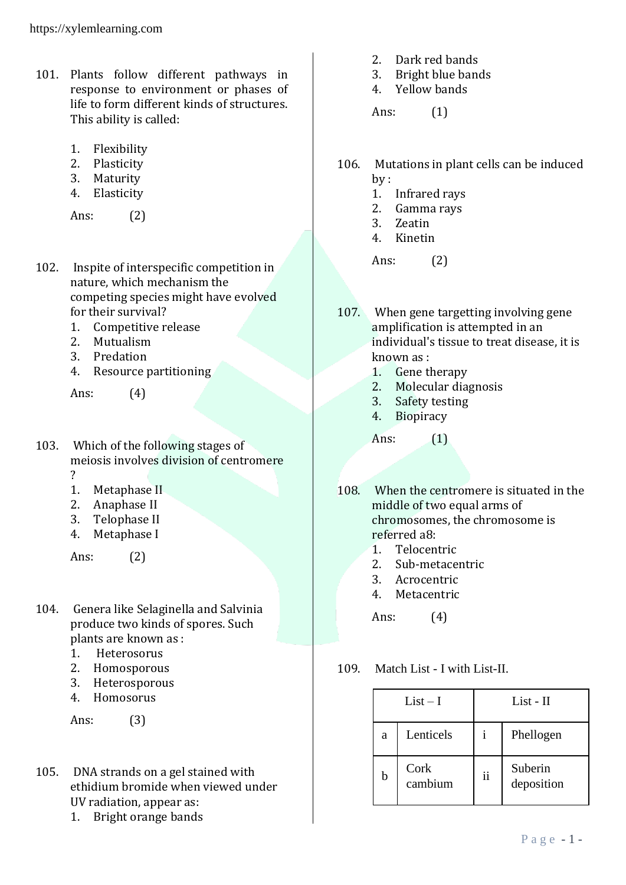- 101. Plants follow different pathways in response to environment or phases of life to form different kinds of structures. This ability is called:
	- 1. Flexibility
	- 2. Plasticity
	- 3. Maturity
	- 4. Elasticity

Ans: (2)

- 102. Inspite of interspecific competition in nature, which mechanism the competing species might have evolved for their survival?
	- 1. Competitive release
	- 2. Mutualism
	- 3. Predation
	- 4. Resource partitioning

Ans: (4)

- 103. Which of the following stages of meiosis involves division of centromere ?
	- 1. Metaphase II
	- 2. Anaphase II
	- 3. Telophase II
	- 4. Metaphase I

Ans: (2)

- 104. Genera like Selaginella and Salvinia produce two kinds of spores. Such plants are known as :
	- 1. Heterosorus
	- 2. Homosporous
	- 3. Heterosporous
	- 4. Homosorus

Ans: (3)

- 105. DNA strands on a gel stained with ethidium bromide when viewed under UV radiation, appear as:
	- 1. Bright orange bands
- 2. Dark red bands
- 3. Bright blue bands
- 4. Yellow bands

Ans: (1)

- 106. Mutations in plant cells can be induced by :
	- 1. Infrared rays
	- 2. Gamma rays
	- 3. Zeatin
	- 4. Kinetin

Ans: (2)

- 107. When gene targetting involving gene amplification is attempted in an individual's tissue to treat disease, it is known as :
	- 1. Gene therapy
	- 2. Molecular diagnosis
	- 3. Safety testing
	- 4. Biopiracy

Ans: (1)

- 108. When the centromere is situated in the middle of two equal arms of chromosomes, the chromosome is referred a8:
	- 1. Telocentric
	- 2. Sub-metacentric
	- 3. Acrocentric
	- 4. Metacentric

Ans: (4)

109. Match List - I with List-II.

| $List-I$ |                 | List - II     |                       |
|----------|-----------------|---------------|-----------------------|
| a        | Lenticels       |               | Phellogen             |
| b        | Cork<br>cambium | $\mathbf{ii}$ | Suberin<br>deposition |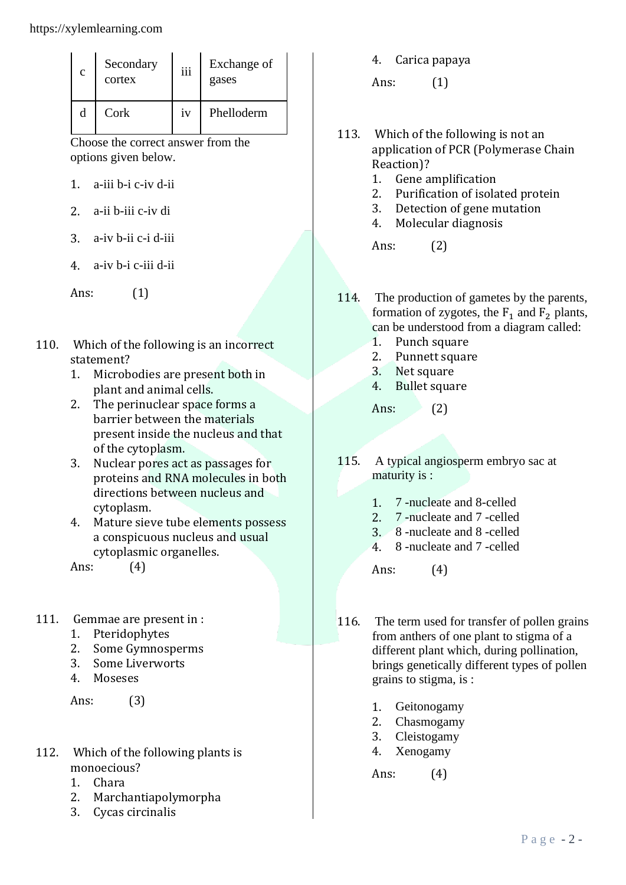| c | Secondary<br>cortex | iii | Exchange of<br>gases |
|---|---------------------|-----|----------------------|
| d | Cork                | iv  | Phelloderm           |

Choose the correct answer from the options given below.

- 1. a-iii b-i c-iv d-ii
- 2. a-ii b-iii c-iv di
- 3. a-iv b-ii c-i d-iii
- 4. a-iv b-i c-iii d-ii

Ans: (1)

- 110. Which of the following is an incorrect statement?
	- 1. Microbodies are present both in plant and animal cells.
	- 2. The perinuclear space forms a barrier between the materials present inside the nucleus and that of the cytoplasm.
	- 3. Nuclear pores act as passages for proteins and RNA molecules in both directions between nucleus and cytoplasm.
	- 4. Mature sieve tube elements possess a conspicuous nucleus and usual cytoplasmic organelles.

Ans: (4)

- 111. Gemmae are present in :
	- 1. Pteridophytes
	- 2. Some Gymnosperms
	- 3. Some Liverworts
	- 4. Moseses

Ans: (3)

- 112. Which of the following plants is monoecious?
	- 1. Chara
	- 2. Marchantiapolymorpha
	- 3. Cycas circinalis

4. Carica papaya

Ans: (1)

- 113. Which of the following is not an application of PCR (Polymerase Chain Reaction)?
	- 1. Gene amplification
	- 2. Purification of isolated protein
	- 3. Detection of gene mutation
	- 4. Molecular diagnosis

Ans: (2)

- 114. The production of gametes by the parents, formation of zygotes, the  $F_1$  and  $F_2$  plants, can be understood from a diagram called:
	- 1. Punch square
	- 2. Punnett square
	- 3. Net square
	- 4. Bullet square

Ans:  $(2)$ 

- 115. A typical angiosperm embryo sac at maturity is :
	- 1. 7 -nucleate and 8-celled
	- 2. 7 -nucleate and 7 -celled
	- 3. 8 -nucleate and 8 -celled
	- 4. 8 -nucleate and 7 -celled

Ans: (4)

- 116. The term used for transfer of pollen grains from anthers of one plant to stigma of a different plant which, during pollination, brings genetically different types of pollen grains to stigma, is :
	- 1. Geitonogamy
	- 2. Chasmogamy
	- 3. Cleistogamy
	- 4. Xenogamy

Ans: (4)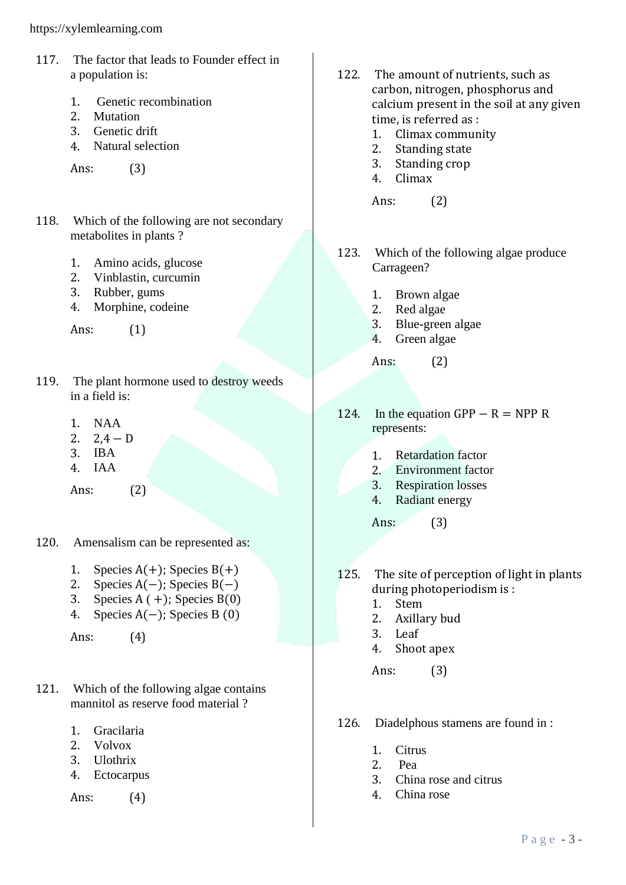https://xylemlearning.com

- 117. The factor that leads to Founder effect in a population is:
	- 1. Genetic recombination
	- 2. Mutation
	- 3. Genetic drift
	- 4. Natural selection

Ans: (3)

- 118. Which of the following are not secondary metabolites in plants ?
	- 1. Amino acids, glucose
	- 2. Vinblastin, curcumin
	- 3. Rubber, gums
	- 4. Morphine, codeine

Ans: (1)

- 119. The plant hormone used to destroy weeds in a field is:
	- 1. NAA
	- 2.  $2.4 D$
	- 3. IBA
	- 4. IAA

Ans: (2)

- 120. Amensalism can be represented as:
	- 1. Species  $A(+)$ ; Species  $B(+)$
	- 2. Species  $A(-)$ ; Species  $B(-)$
	- 3. Species  $A (+)$ ; Species  $B(0)$
	- 4. Species A(−); Species B (0)

Ans: (4)

- 121. Which of the following algae contains mannitol as reserve food material ?
	- 1. Gracilaria
	- 2. Volvox
	- 3. Ulothrix
	- 4. Ectocarpus

Ans: (4)

- 122. The amount of nutrients, such as carbon, nitrogen, phosphorus and calcium present in the soil at any given time, is referred as :
	- 1. Climax community
	- 2. Standing state
	- 3. Standing crop
	- 4. Climax

Ans: (2)

- 123. Which of the following algae produce Carrageen?
	- 1. Brown algae
	- 2. Red algae
	- 3. Blue-green algae
	- 4. Green algae

Ans: (2)

- 124. In the equation GPP  $R = NPPR$ represents:
	- 1. Retardation factor
	- 2. Environment factor
	- 3. Respiration losses
	- 4. Radiant energy

Ans: (3)

- 125. The site of perception of light in plants during photoperiodism is :
	- 1. Stem
	- 2. Axillary bud
	- 3. Leaf
	- 4. Shoot apex

Ans: (3)

- 126. Diadelphous stamens are found in :
	- 1. Citrus
	- 2. Pea
	- 3. China rose and citrus
	- 4. China rose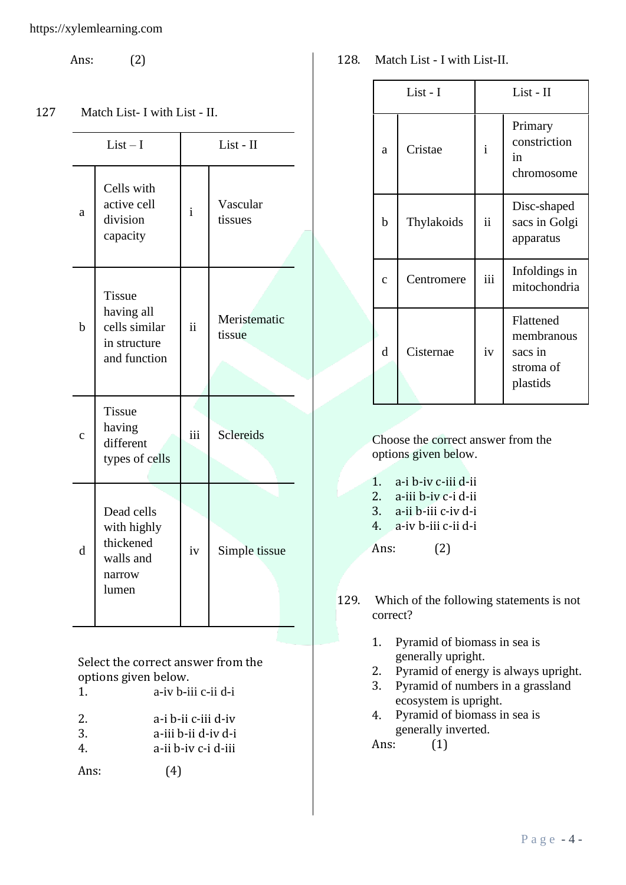Ans: (2)

#### 127 Match List- I with List - II.

|             | $List-I$                                                                     |              | List - II              |
|-------------|------------------------------------------------------------------------------|--------------|------------------------|
| a           | Cells with<br>active cell<br>division<br>capacity                            | $\mathbf{i}$ | Vascular<br>tissues    |
| $\mathbf b$ | <b>Tissue</b><br>having all<br>cells similar<br>in structure<br>and function | ii           | Meristematic<br>tissue |
| $\mathbf c$ | <b>Tissue</b><br>having<br>different<br>types of cells                       | iii          | Sclereids              |
| d           | Dead cells<br>with highly<br>thickened<br>walls and<br>narrow<br>lumen       | iv           | Simple tissue          |

Select the correct answer from the options given below. 1. a-iv b-iii c-ii d-i

| a-i b-ii c-iii d-iv |
|---------------------|
|                     |

- 3. a-iii b-ii d-iv d-i 4. a-ii b-iv c-i d-iii
- 

Ans: (4)

128. Match List - I with List-II.

|              | List - I   |              | List - II                                                   |  |
|--------------|------------|--------------|-------------------------------------------------------------|--|
| a            | Cristae    | $\mathbf{i}$ | Primary<br>constriction<br>in<br>chromosome                 |  |
| b            | Thylakoids | ii           | Disc-shaped<br>sacs in Golgi<br>apparatus                   |  |
| $\mathbf{C}$ | Centromere | iii          | Infoldings in<br>mitochondria                               |  |
| d            | Cisternae  | iv           | Flattened<br>membranous<br>sacs in<br>stroma of<br>plastids |  |

Choose the correct answer from the options given below.

- 1. a-i b-iv c-iii d-ii
- 2. a-iii b-iv c-i d-ii
- 3. a-ii b-iii c-iv d-i
- 4. a-iv b-iii c-ii d-i

Ans: (2)

- 129. Which of the following statements is not correct?
	- 1. Pyramid of biomass in sea is generally upright.
	- 2. Pyramid of energy is always upright.
	- 3. Pyramid of numbers in a grassland ecosystem is upright.
	- 4. Pyramid of biomass in sea is generally inverted.

Ans: (1)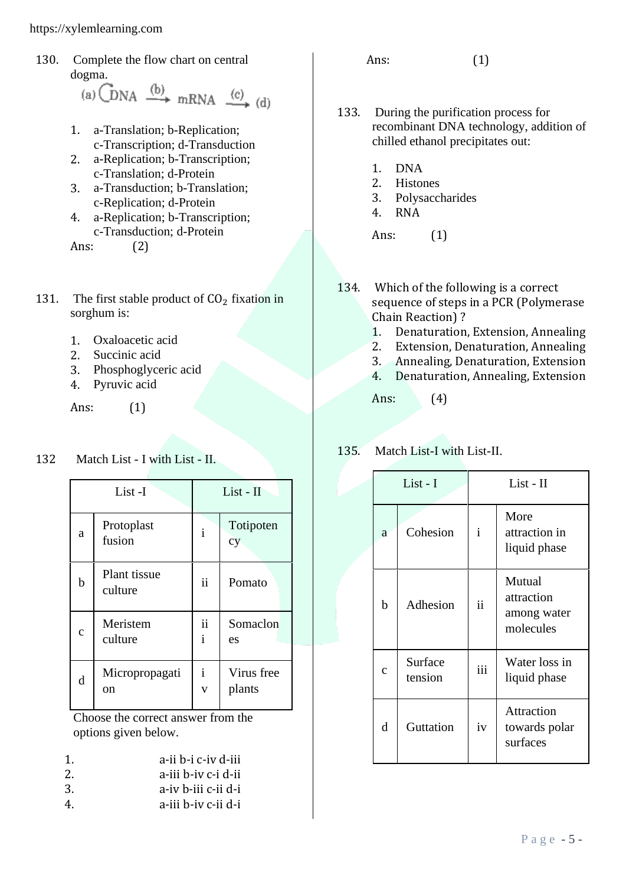130. Complete the flow chart on central

dogma.<br>(a)  $\overrightarrow{DNA} \xrightarrow{(b)} mRNA \xrightarrow{(c)} (d)$ 

- 1. a-Translation; b-Replication; c-Transcription; d-Transduction
- 2. a-Replication; b-Transcription; c-Translation; d-Protein
- 3. a-Transduction; b-Translation; c-Replication; d-Protein
- 4. a-Replication; b-Transcription; c-Transduction; d-Protein

Ans: (2)

- 131. The first stable product of  $CO<sub>2</sub>$  fixation in sorghum is:
	- 1. Oxaloacetic acid
	- 2. Succinic acid
	- 3. Phosphoglyceric acid
	- 4. Pyruvic acid

Ans: (1)

## 132 Match List - I with List - II.

|              | List-I                  |                                         | List - II            |
|--------------|-------------------------|-----------------------------------------|----------------------|
| a            | Protoplast<br>fusion    | $\mathbf{i}$                            | Totipoten<br>cy      |
| b            | Plant tissue<br>culture | $\ddot{\rm n}$                          | Pomato               |
| $\mathbf{C}$ | Meristem<br>culture     | $\ddot{\rm ii}$<br>$\mathbf{i}$         | Somaclon<br>es       |
| d            | Micropropagati<br>on    | $\mathbf{i}$<br>$\overline{\mathbf{V}}$ | Virus free<br>plants |

Choose the correct answer from the options given below.

- 1. a-ii b-i c-iv d-iii
- 2. a-iii b-iv c-i d-ii
- 3. a-iv b-iii c-ii d-i
- 4. a-iii b-iv c-ii d-i

Ans: (1)

- 133. During the purification process for recombinant DNA technology, addition of chilled ethanol precipitates out:
	- 1. DNA
	- 2. Histones
	- 3. Polysaccharides
	- 4. RNA

Ans: (1)

- 134. Which of the following is a correct sequence of steps in a PCR (Polymerase Chain Reaction) ?
	- 1. Denaturation, Extension, Annealing
	- 2. Extension, Denaturation, Annealing
	- 3. Annealing, Denaturation, Extension
	- 4. Denaturation, Annealing, Extension

Ans: (4)

# 135. Match List-I with List-II.

|             | List - I           |               | List - II                                        |
|-------------|--------------------|---------------|--------------------------------------------------|
| a           | Cohesion           | $\mathbf{i}$  | More<br>attraction in<br>liquid phase            |
| b           | Adhesion           | $\mathbf{ii}$ | Mutual<br>attraction<br>among water<br>molecules |
| $\mathbf c$ | Surface<br>tension | iii           | Water loss in<br>liquid phase                    |
| d           | Guttation          | iv            | Attraction<br>towards polar<br>surfaces          |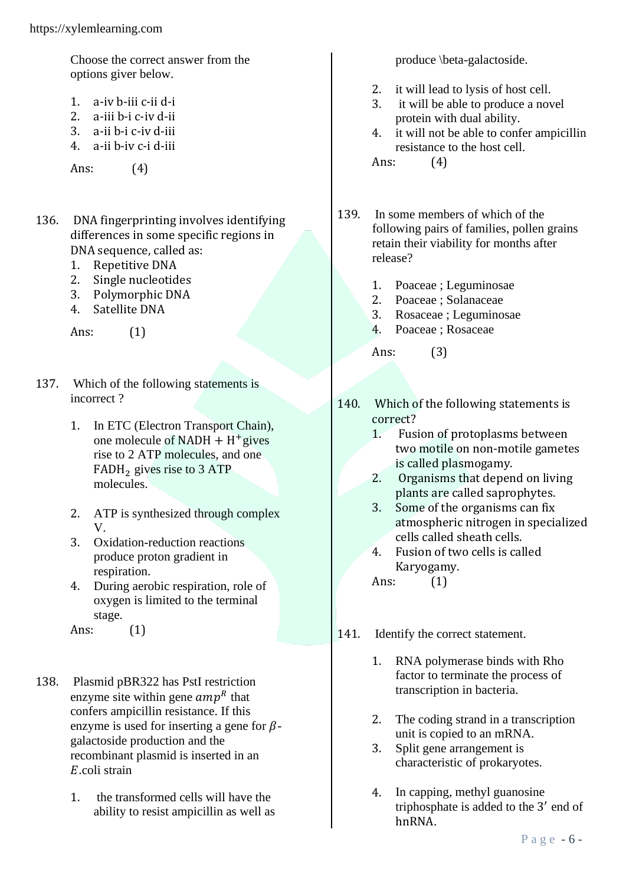Choose the correct answer from the options giver below.

- 1. a-iv b-iii c-ii d-i
- 2. a-iii b-i c-iv d-ii
- 3. a-ii b-i c-iv d-iii
- 4. a-ii b-iv c-i d-iii

Ans: (4)

- 136. DNA fingerprinting involves identifying differences in some specific regions in DNA sequence, called as:
	- 1. Repetitive DNA
	- 2. Single nucleotides
	- 3. Polymorphic DNA
	- 4. Satellite DNA

Ans: (1)

- 137. Which of the following statements is incorrect ?
	- 1. In ETC (Electron Transport Chain), one molecule of  $NADH + H^{+}$ gives rise to 2 ATP molecules, and one  $FADH<sub>2</sub>$  gives rise to 3 ATP molecules.
	- 2. ATP is synthesized through complex V.
	- 3. Oxidation-reduction reactions produce proton gradient in respiration.
	- 4. During aerobic respiration, role of oxygen is limited to the terminal stage.

Ans: (1)

- 138. Plasmid pBR322 has PstI restriction enzyme site within gene  $amp<sup>R</sup>$  that confers ampicillin resistance. If this enzyme is used for inserting a gene for  $\beta$ galactoside production and the recombinant plasmid is inserted in an  $E$  coli strain
	- 1. the transformed cells will have the ability to resist ampicillin as well as

produce \beta-galactoside.

- 2. it will lead to lysis of host cell.
- 3. it will be able to produce a novel protein with dual ability.
- 4. it will not be able to confer ampicillin resistance to the host cell.

Ans: (4)

- 139. In some members of which of the following pairs of families, pollen grains retain their viability for months after release?
	- 1. Poaceae ; Leguminosae
	- 2. Poaceae ; Solanaceae
	- 3. Rosaceae ; Leguminosae
	- 4. Poaceae ; Rosaceae

Ans: (3)

- 140. Which of the following statements is correct?
	- 1. Fusion of protoplasms between two motile on non-motile gametes is called plasmogamy.
	- 2. Organisms that depend on living plants are called saprophytes.
	- 3. Some of the organisms can fix atmospheric nitrogen in specialized cells called sheath cells.
	- 4. Fusion of two cells is called Karyogamy.

Ans: (1)

- 141. Identify the correct statement.
	- 1. RNA polymerase binds with Rho factor to terminate the process of transcription in bacteria.
	- 2. The coding strand in a transcription unit is copied to an mRNA.
	- 3. Split gene arrangement is characteristic of prokaryotes.
	- 4. In capping, methyl guanosine triphosphate is added to the 3' end of hnRNA.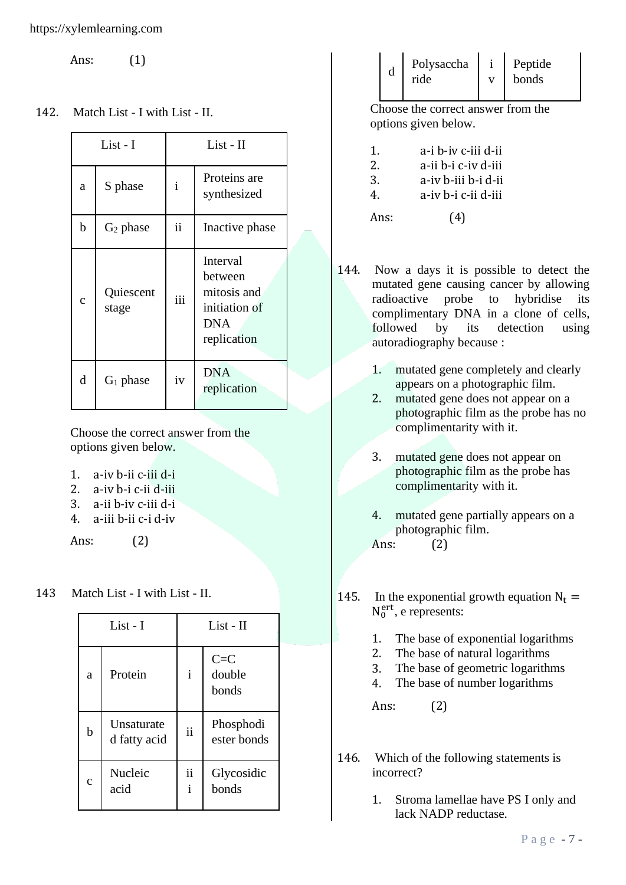Ans: (1)

142. Match List - I with List - II.

| List - I   |                    |                     | $List - II$                                                                      |
|------------|--------------------|---------------------|----------------------------------------------------------------------------------|
| a          | S phase            | $\mathbf{i}$        | Proteins are<br>synthesized                                                      |
| b          | $G_2$ phase        | $\ddot{\mathbf{i}}$ | Inactive phase                                                                   |
| $\ddot{c}$ | Quiescent<br>stage | iii                 | Interval<br>between<br>mitosis and<br>initiation of<br><b>DNA</b><br>replication |
| d          | $G_1$ phase        | iv                  | <b>DNA</b><br>replication                                                        |

Choose the correct answer from the options given below.

- 1. a-iv b-ii c-iii d-i
- 2. a-iv b-i c-ii d-iii
- 3. a-ii b-iv c-iii d-i
- 4. a-iii b-ii c-i d-iv

Ans: (2)

## 143 Match List - I with List - II.

| List - I    |                            | List - II          |                            |
|-------------|----------------------------|--------------------|----------------------------|
| a           | Protein                    | $\mathbf{i}$       | $C = C$<br>double<br>bonds |
| b           | Unsaturate<br>d fatty acid | $\mathbf{ii}$      | Phosphodi<br>ester bonds   |
| $\mathbf c$ | Nucleic<br>acid            | ii<br>$\mathbf{i}$ | Glycosidic<br>bonds        |

| d | Polysaccha | Peptide |
|---|------------|---------|
|   | ride       | bonds   |
|   |            |         |

Choose the correct answer from the options given below.

| 1.      | a-i b-iv c-iii d-ii |
|---------|---------------------|
| 2.      | a-ii b-i c-iv d-iii |
| 3.      | a-iv b-iii b-i d-ii |
| $4_{-}$ | a-iv b-i c-ii d-iii |
| Ans:    | (4)                 |

- 144. Now a days it is possible to detect the mutated gene causing cancer by allowing radioactive probe to hybridise its complimentary DNA in a clone of cells, followed by its detection using autoradiography because :
	- 1. mutated gene completely and clearly appears on a photographic film.
	- 2. mutated gene does not appear on a photographic film as the probe has no complimentarity with it.
	- 3. mutated gene does not appear on photographic film as the probe has complimentarity with it.
	- 4. mutated gene partially appears on a photographic film. Ans: (2)
- 145. In the exponential growth equation  $N_t =$  $N_0^{\text{ert}}$ , e represents:
	- 1. The base of exponential logarithms
	- 2. The base of natural logarithms
	- 3. The base of geometric logarithms
	- 4. The base of number logarithms

Ans: (2)

- 146. Which of the following statements is incorrect?
	- 1. Stroma lamellae have PS I only and lack NADP reductase.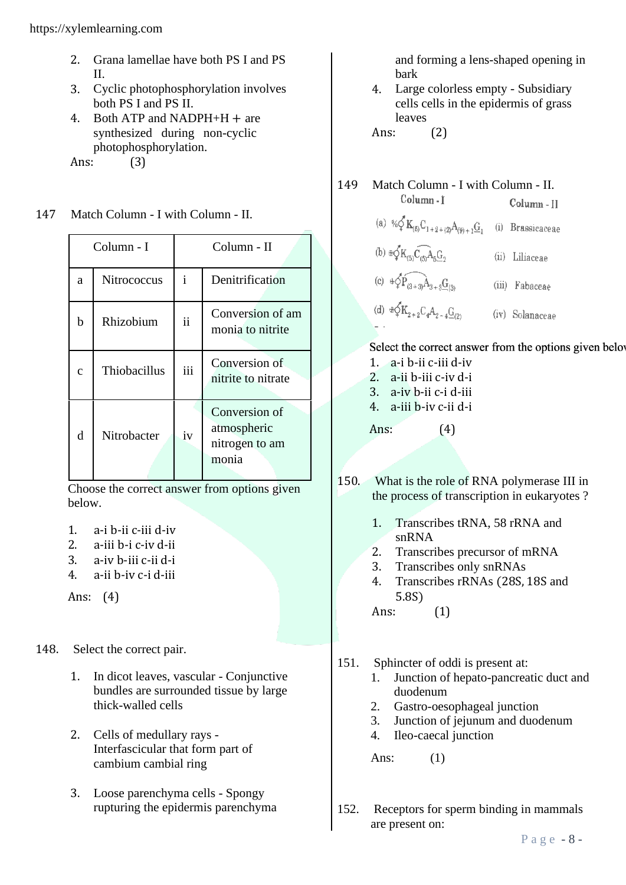- 2. Grana lamellae have both PS I and PS II.
- 3. Cyclic photophosphorylation involves both PS I and PS II.
- 4. Both ATP and NADPH+H  $+$  are synthesized during non-cyclic photophosphorylation.

Ans: (3)

147 Match Column - I with Column - II.

| Column - I |              | Column - II   |                                                         |
|------------|--------------|---------------|---------------------------------------------------------|
| a          | Nitrococcus  | $\mathbf{i}$  | Denitrification                                         |
| h          | Rhizobium    | $\mathbf{ii}$ | Conversion of am<br>monia to nitrite                    |
| Ć          | Thiobacillus | iii           | Conversion of<br>nitrite to nitrate                     |
| d          | Nitrobacter  | iv            | Conversion of<br>atmospheric<br>nitrogen to am<br>monia |

Choose the correct answer from options given below.

- 1. a-i b-ii c-iii d-iv
- 2. a-iii b-i c-iv d-ii
- 3. a-iv b-iii c-ii d-i
- 4. a-ii b-iv c-i d-iii

Ans: (4)

- 148. Select the correct pair.
	- 1. In dicot leaves, vascular Conjunctive bundles are surrounded tissue by large thick-walled cells
	- 2. Cells of medullary rays Interfascicular that form part of cambium cambial ring
	- 3. Loose parenchyma cells Spongy rupturing the epidermis parenchyma

and forming a lens-shaped opening in bark

4. Large colorless empty - Subsidiary cells cells in the epidermis of grass leaves

Ans: (2)

# 149 Match Column - I with Column - II.

Column-1 Column - H (a) %<br> $\oint K_{(5)}C_{1+2+(2)}A_{(9)+1}G_1$  (i) Brassicaceae (b)  $\oplus \oint K_{(5)}\widehat{C_{(5)}A_{5}}G_2$ <br>(c)  $\oplus \oint \widehat{P_{(3+3)}A_{3+3}}G_{(3)}$ (ii) Liliaceae (iii) Fabaceae (d)  $\oplus \oint K_{2+2} C_4 A_{2-4} \underline{G}_{(2)}$ (iv) Solanaceae

#### Select the correct answer from the options given belove 1. a-i b-ii c-iii d-iv

- 2. a-ii b-iii c-iv d-i
- 3. a-iv b-ii c-i d-iii
- 4. a-iii b-iv c-ii d-i

Ans: (4)

- 150. What is the role of RNA polymerase III in the process of transcription in eukaryotes ?
	- 1. Transcribes tRNA, 58 rRNA and snRNA
	- 2. Transcribes precursor of mRNA
	- 3. Transcribes only snRNAs
	- 4. Transcribes rRNAs (28S, 18S and 5.8S)

Ans: (1)

- 151. Sphincter of oddi is present at:
	- 1. Junction of hepato-pancreatic duct and duodenum
	- 2. Gastro-oesophageal junction
	- 3. Junction of jejunum and duodenum
	- 4. Ileo-caecal junction

Ans: (1)

152. Receptors for sperm binding in mammals are present on: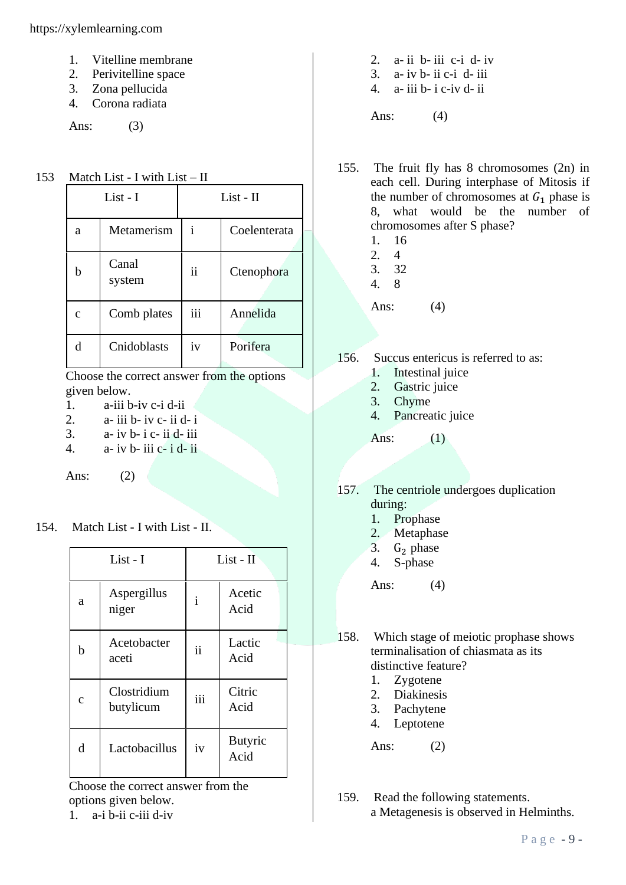https://xylemlearning.com

- 1. Vitelline membrane
- 2. Perivitelline space
- 3. Zona pellucida
- 4. Corona radiata

Ans: (3)

153 Match List - I with List – II

| List - I     |                 | $List - II$ |              |  |
|--------------|-----------------|-------------|--------------|--|
| a            | Metamerism      | 1           | Coelenterata |  |
| h            | Canal<br>system | ii          | Ctenophora   |  |
| $\mathbf{C}$ | Comb plates     | iii         | Annelida     |  |
| d            | Cnidoblasts     | iv          | Porifera     |  |

Choose the correct answer from the options given below.

- 1. a-iii b-iv c-i d-ii
- 2.  $a$  iii  $b$  iv  $c$  ii  $d$  i
- $3. a$  iv b- i c- ii d- iii
- 4.  $a$  iv b- iii c- i d- ii

Ans: (2)

154. Match List - I with List - II.

| List - I    |                          | List - II           |                        |
|-------------|--------------------------|---------------------|------------------------|
| a           | Aspergillus<br>niger     | $\mathbf{i}$        | Acetic<br>Acid         |
| h           | Acetobacter<br>aceti     | $\ddot{\mathbf{i}}$ | Lactic<br>Acid         |
| $\mathbf c$ | Clostridium<br>butylicum | iii                 | Citric<br>Acid         |
| d           | Lactobacillus            | iv                  | <b>Butyric</b><br>Acid |

Choose the correct answer from the options given below.

 $1$  a-i b-ii c-iii d-iv

- 2. a- ii b- iii c-i d- iv  $3. a$ - iv b- ii c-i d- iii
- 4. a- iii b- i c-iv d- ii
- 

Ans: (4)

- 155. The fruit fly has 8 chromosomes (2n) in each cell. During interphase of Mitosis if the number of chromosomes at  $G_1$  phase is 8, what would be the number of chromosomes after S phase?
	- 1. 16
	- 2. 4
	- 3. 32 4. 8
	-

Ans: (4)

- 156. Succus entericus is referred to as:
	- 1. Intestinal juice
	- 2. Gastric juice
	- 3. Chyme
	- 4. Pancreatic juice

Ans: (1)

- 157. The centriole undergoes duplication during:
	- 1. Prophase
	- 2. Metaphase
	- 3.  $G_2$  phase<br>4. S-phase
	- S-phase

Ans: (4)

- 158. Which stage of meiotic prophase shows terminalisation of chiasmata as its distinctive feature?
	- 1. Zygotene
	- 2. Diakinesis
	- 3. Pachytene
	- 4. Leptotene

Ans: (2)

159. Read the following statements. a Metagenesis is observed in Helminths.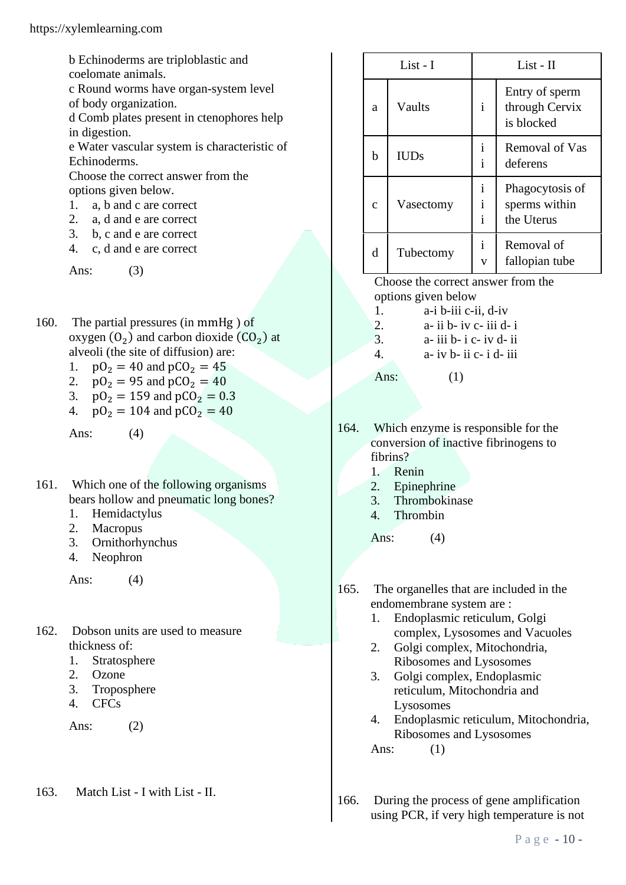b Echinoderms are triploblastic and

coelomate animals.

c Round worms have organ-system level of body organization.

d Comb plates present in ctenophores help in digestion.

e Water vascular system is characteristic of Echinoderms.

Choose the correct answer from the options given below.

- 1. a, b and c are correct
- 2. a, d and e are correct
- 3. b, c and e are correct
- 4. c, d and e are correct

Ans: (3)

- 160. The partial pressures (in mmHg ) of oxygen  $(0_2)$  and carbon dioxide  $(C_2)$  at alveoli (the site of diffusion) are:
	- 1.  $pO_2 = 40$  and  $pCO_2 = 45$
	- 2.  $pO_2 = 95$  and  $pCO_2 = 40$
	- 3.  $p_2 = 159$  and  $p_2 = 0.3$
	- 4.  $pO_2 = 104$  and  $pCO_2 = 40$

Ans: (4)

- 161. Which one of the following organisms bears hollow and pneumatic long bones?
	- 1. Hemidactylus
	- 2. Macropus
	- 3. Ornithorhynchus
	- 4. Neophron

Ans: (4)

- 162. Dobson units are used to measure thickness of:
	- 1. Stratosphere
	- 2. Ozone
	- 3. Troposphere
	- 4. CFCs

Ans: (2)

163. Match List - I with List - II.

| List - I    |             | $List - II$                                  |                                                |  |
|-------------|-------------|----------------------------------------------|------------------------------------------------|--|
| a           | Vaults      | $\mathbf{i}$                                 | Entry of sperm<br>through Cervix<br>is blocked |  |
| b           | <b>IUDs</b> | Ť<br>$\mathbf{i}$                            | Removal of Vas<br>deferens                     |  |
| $\mathbf c$ | Vasectomy   | $\mathbf{i}$<br>$\mathbf{i}$<br>$\mathbf{i}$ | Phagocytosis of<br>sperms within<br>the Uterus |  |
| d           | Tubectomy   | $\mathbf{i}$<br>$\mathbf{V}$                 | Removal of<br>fallopian tube                   |  |

Choose the correct answer from the options given below

- 1. a-i b-iii c-ii, d-iv
- 2.  $a ii b iv c iii d i$
- $3. a$  iii b- i c- iv d- ii
- 4.  $a- iv b- ii c- i d- iii$
- Ans:  $(1)$
- 164. Which enzyme is responsible for the conversion of inactive fibrinogens to fibrins?
	- 1. Renin
	- 2. Epinephrine
	- 3. Thrombokinase
	- 4. Thrombin

Ans:  $(4)$ 

- 165. The organelles that are included in the endomembrane system are :
	- 1. Endoplasmic reticulum, Golgi complex, Lysosomes and Vacuoles
	- 2. Golgi complex, Mitochondria, Ribosomes and Lysosomes
	- 3. Golgi complex, Endoplasmic reticulum, Mitochondria and Lysosomes
	- 4. Endoplasmic reticulum, Mitochondria, Ribosomes and Lysosomes Ans: (1)

166. During the process of gene amplification using PCR, if very high temperature is not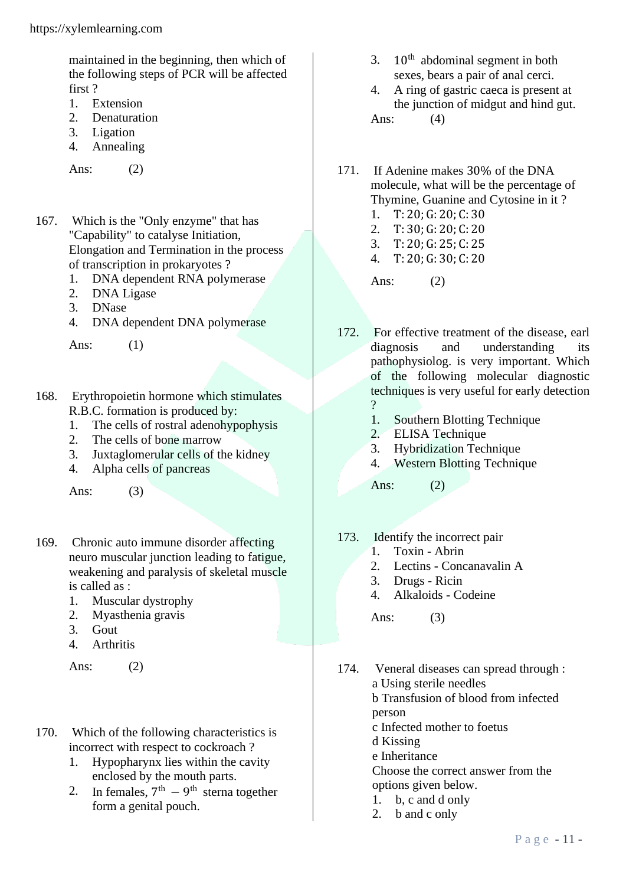maintained in the beginning, then which of the following steps of PCR will be affected first ?

- 1. Extension
- 2. Denaturation
- 3. Ligation
- 4. Annealing

Ans: (2)

- 167. Which is the "Only enzyme" that has "Capability" to catalyse Initiation, Elongation and Termination in the process of transcription in prokaryotes ?
	- 1. DNA dependent RNA polymerase
	- 2. DNA Ligase
	- 3. DNase
	- 4. DNA dependent DNA polymerase

Ans: (1)

- 168. Erythropoietin hormone which stimulates R.B.C. formation is produced by:
	- 1. The cells of rostral adenohypophysis
	- 2. The cells of bone marrow
	- 3. Juxtaglomerular cells of the kidney
	- 4. Alpha cells of pancreas

Ans: (3)

- 169. Chronic auto immune disorder affecting neuro muscular junction leading to fatigue, weakening and paralysis of skeletal muscle is called as :
	- 1. Muscular dystrophy
	- 2. Myasthenia gravis
	- 3. Gout
	- 4. Arthritis

Ans: (2)

- 170. Which of the following characteristics is incorrect with respect to cockroach ?
	- 1. Hypopharynx lies within the cavity enclosed by the mouth parts.
	- 2. In females,  $7<sup>th</sup> 9<sup>th</sup>$  sterna together form a genital pouch.
- 3.  $10^{th}$  abdominal segment in both sexes, bears a pair of anal cerci.
- 4. A ring of gastric caeca is present at the junction of midgut and hind gut. Ans: (4)
- 171. If Adenine makes 30% of the DNA molecule, what will be the percentage of Thymine, Guanine and Cytosine in it ?
	- 1. T: 20; G: 20; C: 30 2. T: 30; G: 20; C: 20
	- 3. T: 20; G: 25; C: 25
	- 4. T: 20; G: 30; C: 20

Ans: (2)

- 172. For effective treatment of the disease, earl diagnosis and understanding its pathophysiolog. is very important. Which of the following molecular diagnostic techniques is very useful for early detection  $\gamma$ 
	- 1. Southern Blotting Technique
	- 2. ELISA Technique
	- 3. Hybridization Technique
	- 4. Western Blotting Technique

Ans: (2)

- 173. Identify the incorrect pair
	- 1. Toxin Abrin
	- 2. Lectins Concanavalin A
	- 3. Drugs Ricin
	- 4. Alkaloids Codeine

Ans: (3)

- 174. Veneral diseases can spread through : a Using sterile needles b Transfusion of blood from infected person c Infected mother to foetus d Kissing e Inheritance Choose the correct answer from the options given below. 1. b, c and d only
	- 2. b and c only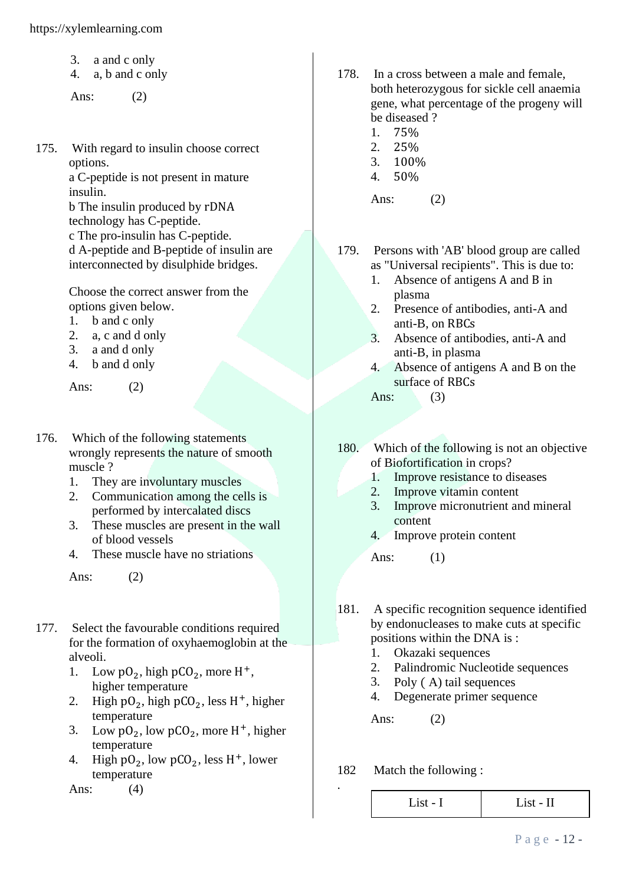- 3. a and c only
- 4. a, b and c only

Ans: (2)

175. With regard to insulin choose correct options. a C-peptide is not present in mature insulin. b The insulin produced by rDNA technology has C-peptide. c The pro-insulin has C-peptide. d A-peptide and B-peptide of insulin are interconnected by disulphide bridges.

> Choose the correct answer from the options given below.

- 1. b and c only
- 2. a, c and d only
- 3. a and d only
- 4. b and d only

Ans: (2)

- 176. Which of the following statements wrongly represents the nature of smooth muscle ?
	- 1. They are involuntary muscles
	- 2. Communication among the cells is performed by intercalated discs
	- 3. These muscles are present in the wall of blood vessels
	- 4. These muscle have no striations

Ans: (2)

- 177. Select the favourable conditions required for the formation of oxyhaemoglobin at the alveoli.
	- 1. Low  $pO_2$ , high  $pCO_2$ , more H<sup>+</sup>, higher temperature
	- 2. High  $pO_2$ , high  $pCO_2$ , less H<sup>+</sup>, higher temperature
	- 3. Low  $pO_2$ , low  $pCO_2$ , more H<sup>+</sup>, higher temperature
	- 4. High  $pO_2$ , low  $pCO_2$ , less H<sup>+</sup>, lower temperature

Ans: (4)

- 178. In a cross between a male and female, both heterozygous for sickle cell anaemia gene, what percentage of the progeny will be diseased ?
	- 1. 75%
	- 2. 25%
	- 3. 100%
	- 4. 50%

Ans: (2)

- 179. Persons with 'AB' blood group are called as "Universal recipients". This is due to:
	- 1. Absence of antigens A and B in plasma
	- 2. Presence of antibodies, anti-A and anti-B, on RBCs
	- 3. Absence of antibodies, anti-A and anti-B, in plasma
	- 4. Absence of antigens A and B on the surface of RBCs
	- Ans:  $(3)$
- 180. Which of the following is not an objective of Biofortification in crops?
	- 1. Improve resistance to diseases
	- 2. Improve vitamin content
	- 3. Improve micronutrient and mineral content
	- 4. Improve protein content

Ans: (1)

- 181. A specific recognition sequence identified by endonucleases to make cuts at specific positions within the DNA is :
	- 1. Okazaki sequences
	- 2. Palindromic Nucleotide sequences
	- 3. Poly ( A) tail sequences
	- 4. Degenerate primer sequence

Ans: (2)

182 Match the following :

.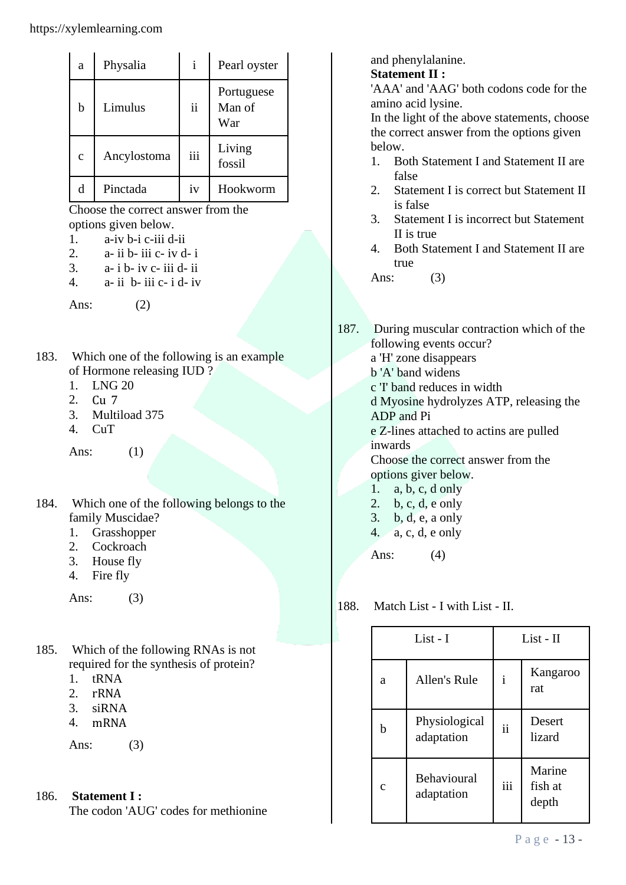| a            | Physalia    | $\mathbf{i}$ | Pearl oyster                |
|--------------|-------------|--------------|-----------------------------|
| b            | Limulus     | ii           | Portuguese<br>Man of<br>War |
| $\mathbf{C}$ | Ancylostoma | iii          | Living<br>fossil            |
| d            | Pinctada    | iv           | Hookworm                    |

Choose the correct answer from the options given below.

- 1. a-iv b-i c-iii d-ii
- 2.  $a$  ii b- iii c- iv d- i
- $3. a$  i b- iv c- iii d- ii
- 4.  $a$  ii  $b$  iii  $c$  i  $d$  iv

Ans:  $(2)$ 

- 183. Which one of the following is an example of Hormone releasing IUD ?
	- 1. LNG 20
	- 2. Cu 7
	- 3. Multiload 375
	- 4. CuT

Ans: (1)

- 184. Which one of the following belongs to the family Muscidae?
	- 1. Grasshopper
	- 2. Cockroach
	- 3. House fly
	- 4. Fire fly

Ans: (3)

- 185. Which of the following RNAs is not required for the synthesis of protein?
	- 1. tRNA
	- 2. rRNA
	- 3. siRNA
	- 4. mRNA

Ans: (3)

186. **Statement I :**

The codon 'AUG' codes for methionine

and phenylalanine.

# **Statement II :**

'AAA' and 'AAG' both codons code for the amino acid lysine.

In the light of the above statements, choose the correct answer from the options given below.

- 1. Both Statement I and Statement II are false
- 2. Statement I is correct but Statement II is false
- 3. Statement I is incorrect but Statement II is true
- 4. Both Statement I and Statement II are true

Ans: (3)

- 187. During muscular contraction which of the following events occur? a 'H' zone disappears
	- b 'A' band widens
	- c 'I' band reduces in width

d Myosine hydrolyzes ATP, releasing the ADP and Pi

e Z-lines attached to actins are pulled inwards

Choose the correct answer from the options giver below.

- 1. a, b, c, d only
- 2. b, c, d, e only
- 3. b, d, e, a only
- 4. a, c, d, e only

Ans: (4)

188. Match List - I with List - II.

| List - I      |                                  | $List - II$  |                            |
|---------------|----------------------------------|--------------|----------------------------|
| a             | Allen's Rule                     | $\mathbf{i}$ | Kangaroo<br>rat            |
| h             | Physiological<br>adaptation      | ii           | Desert<br>lizard           |
| $\mathcal{C}$ | <b>Behavioural</b><br>adaptation | iii          | Marine<br>fish at<br>depth |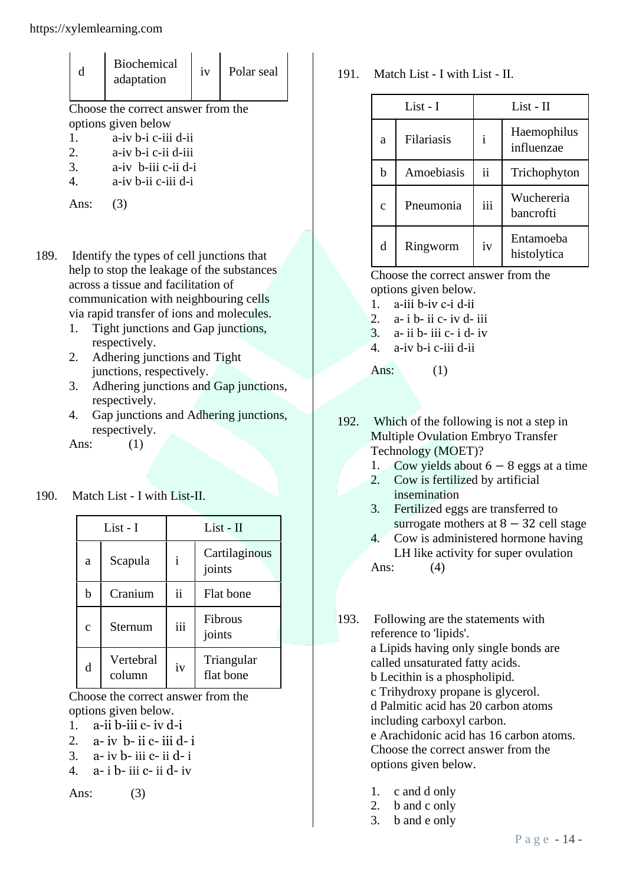| d                   | <b>Biochemical</b><br>adaptation   | iv | Polar seal |  |
|---------------------|------------------------------------|----|------------|--|
|                     | Choose the correct answer from the |    |            |  |
| options given below |                                    |    |            |  |
| $\mathbf{1}$ .      | a-iv b-i c-iii d-ii                |    |            |  |
| 2.                  | a-iv b-i c-ii d-iii                |    |            |  |
| 3.                  | a-iv b-iii c-ii d-i                |    |            |  |
| 4.                  | a-iv b-ii c-iii d-i                |    |            |  |
|                     |                                    |    |            |  |

- 189. Identify the types of cell junctions that help to stop the leakage of the substances across a tissue and facilitation of communication with neighbouring cells via rapid transfer of ions and molecules.
	- 1. Tight junctions and Gap junctions, respectively.
	- 2. Adhering junctions and Tight junctions, respectively.
	- 3. Adhering junctions and Gap junctions, respectively.
	- 4. Gap junctions and Adhering junctions, respectively.

Ans: (1)

190. Match List - I with List-II.

| List - I   |                     | List - II    |                         |  |
|------------|---------------------|--------------|-------------------------|--|
| a          | Scapula             | $\mathbf{i}$ | Cartilaginous<br>joints |  |
| b          | Cranium             | ii           | Flat bone               |  |
| $\ddot{c}$ | Sternum             | iii          | Fibrous<br>joints       |  |
| d          | Vertebral<br>column | iv           | Triangular<br>flat bone |  |

Choose the correct answer from the options given below.

- 1. a-ii b-iii c- iv d-i
- 2.  $a$  iv  $b$  ii  $c$  iii  $d$  i
- $3. a$  iv  $b$  iii  $c$  ii  $d$  i
- 4. a- i b- iii c- ii d- iv

Ans: (3)

191. Match List - I with List - II.

| List - I     |            | $List - II$ |                           |  |
|--------------|------------|-------------|---------------------------|--|
| a            | Filariasis | i           | Haemophilus<br>influenzae |  |
| h            | Amoebiasis | ii          | Trichophyton              |  |
| $\mathbf{C}$ | Pneumonia  | iii         | Wuchereria<br>hancrofti   |  |
| d            | Ringworm   | iv          | Entamoeba<br>histolytica  |  |

Choose the correct answer from the options given below.

- 1. a-iii b-iv c-i d-ii
- $2$  a- i b- ii c- iv d- iii
- $3. a$  ii b- iii c- i d- iv
- 4. a-iv b-i c-iii d-ii

Ans:  $(1)$ 

192. Which of the following is not a step in Multiple Ovulation Embryo Transfer Technology (MOET)?

- 1. Cow yields about  $6 8$  eggs at a time
- 2. Cow is fertilized by artificial insemination
- 3. Fertilized eggs are transferred to surrogate mothers at  $8 - 32$  cell stage
- 4. Cow is administered hormone having LH like activity for super ovulation

Ans: (4)

- 193. Following are the statements with reference to 'lipids'. a Lipids having only single bonds are called unsaturated fatty acids. b Lecithin is a phospholipid. c Trihydroxy propane is glycerol. d Palmitic acid has 20 carbon atoms including carboxyl carbon. e Arachidonic acid has 16 carbon atoms. Choose the correct answer from the options given below.
	- 1. c and d only
	- 2. b and c only
	- 3. b and e only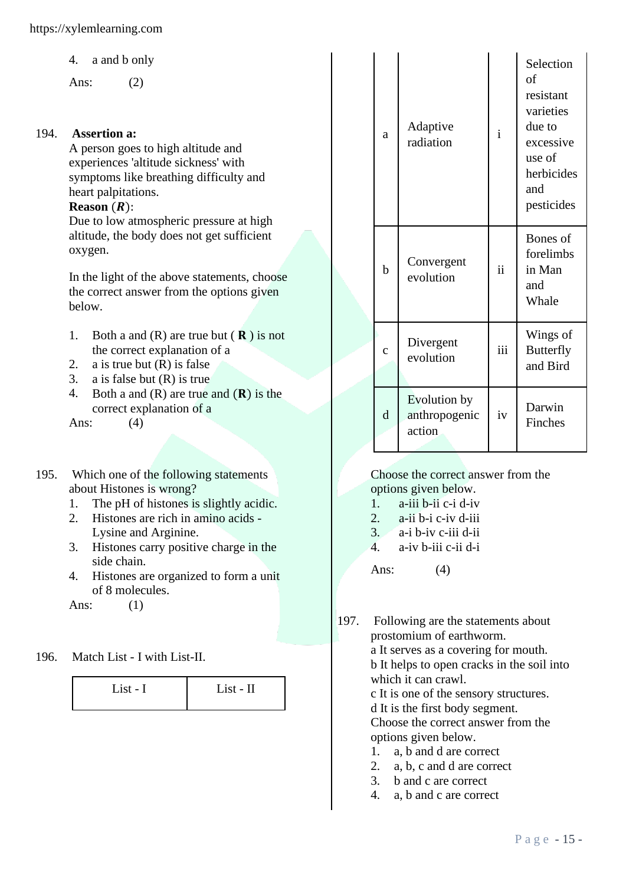4. a and b only

Ans: (2)

#### 194. **Assertion a:**

A person goes to high altitude and experiences 'altitude sickness' with symptoms like breathing difficulty and heart palpitations.

# $Rearon (R)$ :

Due to low atmospheric pressure at high altitude, the body does not get sufficient oxygen.

In the light of the above statements, choose the correct answer from the options given below.

- 1. Both a and  $(R)$  are true but  $(R)$  is not the correct explanation of a
- 2. a is true but  $(R)$  is false
- 3. a is false but (R) is true
- 4. Both a and  $(R)$  are true and  $(R)$  is the correct explanation of a

Ans: (4)

- 195. Which one of the following statements about Histones is wrong?
	- 1. The pH of histones is slightly acidic.
	- 2. Histones are rich in amino acids Lysine and Arginine.
	- 3. Histones carry positive charge in the side chain.
	- 4. Histones are organized to form a unit of 8 molecules.

Ans: (1)

196. Match List - I with List-II.

| List - I | List - II |
|----------|-----------|
|          |           |

|  | a           | Adaptive<br>radiation                   | $\mathbf{i}$  | Selection<br>of<br>resistant<br>varieties<br>due to<br>excessive<br>use of<br>herbicides<br>and<br>pesticides |
|--|-------------|-----------------------------------------|---------------|---------------------------------------------------------------------------------------------------------------|
|  | $\mathbf b$ | Convergent<br>evolution                 | $\mathbf{ii}$ | Bones of<br>forelimbs<br>in Man<br>and<br>Whale                                                               |
|  | $\ddot{c}$  | Divergent<br>evolution                  | iii           | Wings of<br><b>Butterfly</b><br>and Bird                                                                      |
|  | d           | Evolution by<br>anthropogenic<br>action | iv            | Darwin<br>Finches                                                                                             |

Choose the correct answer from the options given below.

- 1. a-iii b-ii c-i d-iv
- 2. a-ii b-i c-iv d-iii
- 3. a-i b-iv c-iii d-ii
- 4. a-iv b-iii c-ii d-i

Ans: (4)

197. Following are the statements about prostomium of earthworm. a It serves as a covering for mouth. b It helps to open cracks in the soil into which it can crawl. c It is one of the sensory structures. d It is the first body segment.

Choose the correct answer from the options given below.

- 1. a, b and d are correct
- 2. a, b, c and d are correct
- 3. b and c are correct
- 4. a, b and c are correct